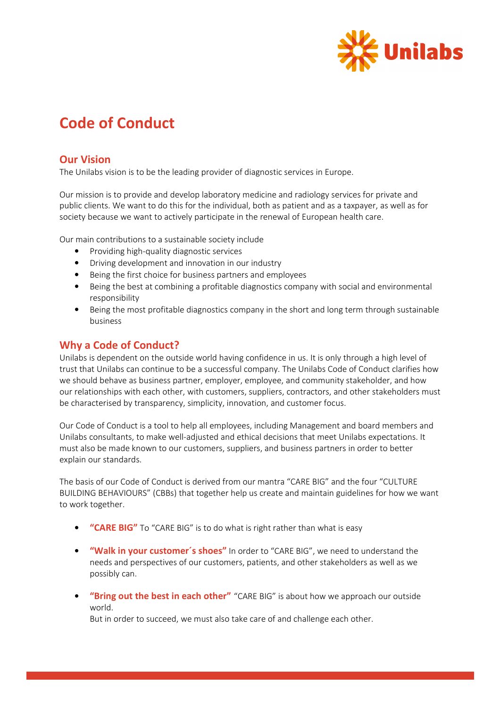

# Code of Conduct

#### Our Vision

The Unilabs vision is to be the leading provider of diagnostic services in Europe.

Our mission is to provide and develop laboratory medicine and radiology services for private and public clients. We want to do this for the individual, both as patient and as a taxpayer, as well as for society because we want to actively participate in the renewal of European health care.

Our main contributions to a sustainable society include

- Providing high-quality diagnostic services
- Driving development and innovation in our industry
- Being the first choice for business partners and employees
- Being the best at combining a profitable diagnostics company with social and environmental responsibility
- Being the most profitable diagnostics company in the short and long term through sustainable business

#### Why a Code of Conduct?

Unilabs is dependent on the outside world having confidence in us. It is only through a high level of trust that Unilabs can continue to be a successful company. The Unilabs Code of Conduct clarifies how we should behave as business partner, employer, employee, and community stakeholder, and how our relationships with each other, with customers, suppliers, contractors, and other stakeholders must be characterised by transparency, simplicity, innovation, and customer focus.

Our Code of Conduct is a tool to help all employees, including Management and board members and Unilabs consultants, to make well-adjusted and ethical decisions that meet Unilabs expectations. It must also be made known to our customers, suppliers, and business partners in order to better explain our standards.

The basis of our Code of Conduct is derived from our mantra "CARE BIG" and the four "CULTURE BUILDING BEHAVIOURS" (CBBs) that together help us create and maintain guidelines for how we want to work together.

- **"CARE BIG"** To "CARE BIG" is to do what is right rather than what is easy
- **"Walk in your customer's shoes"** In order to "CARE BIG", we need to understand the needs and perspectives of our customers, patients, and other stakeholders as well as we possibly can.
- "Bring out the best in each other" "CARE BIG" is about how we approach our outside world.

But in order to succeed, we must also take care of and challenge each other.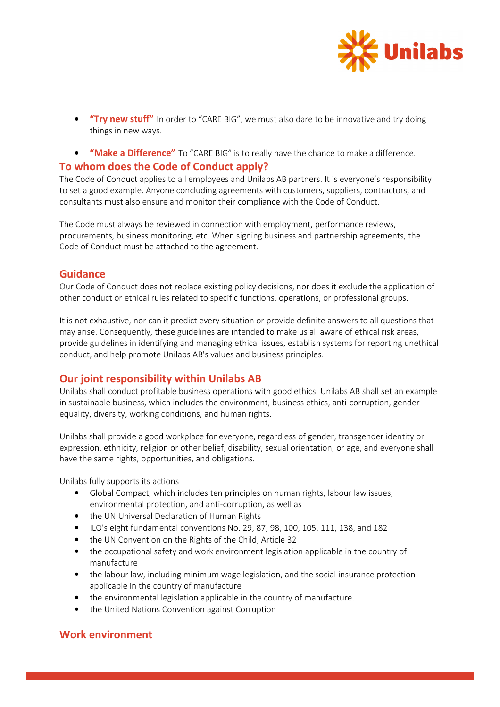

- "Try new stuff" In order to "CARE BIG", we must also dare to be innovative and try doing things in new ways.
- **"Make a Difference"** To "CARE BIG" is to really have the chance to make a difference.

#### To whom does the Code of Conduct apply?

The Code of Conduct applies to all employees and Unilabs AB partners. It is everyone's responsibility to set a good example. Anyone concluding agreements with customers, suppliers, contractors, and consultants must also ensure and monitor their compliance with the Code of Conduct.

The Code must always be reviewed in connection with employment, performance reviews, procurements, business monitoring, etc. When signing business and partnership agreements, the Code of Conduct must be attached to the agreement.

#### Guidance

Our Code of Conduct does not replace existing policy decisions, nor does it exclude the application of other conduct or ethical rules related to specific functions, operations, or professional groups.

It is not exhaustive, nor can it predict every situation or provide definite answers to all questions that may arise. Consequently, these guidelines are intended to make us all aware of ethical risk areas, provide guidelines in identifying and managing ethical issues, establish systems for reporting unethical conduct, and help promote Unilabs AB's values and business principles.

# Our joint responsibility within Unilabs AB

Unilabs shall conduct profitable business operations with good ethics. Unilabs AB shall set an example in sustainable business, which includes the environment, business ethics, anti-corruption, gender equality, diversity, working conditions, and human rights.

Unilabs shall provide a good workplace for everyone, regardless of gender, transgender identity or expression, ethnicity, religion or other belief, disability, sexual orientation, or age, and everyone shall have the same rights, opportunities, and obligations.

Unilabs fully supports its actions

- Global Compact, which includes ten principles on human rights, labour law issues, environmental protection, and anti-corruption, as well as
- the UN Universal Declaration of Human Rights
- ILO's eight fundamental conventions No. 29, 87, 98, 100, 105, 111, 138, and 182
- the UN Convention on the Rights of the Child, Article 32
- the occupational safety and work environment legislation applicable in the country of manufacture
- the labour law, including minimum wage legislation, and the social insurance protection applicable in the country of manufacture
- the environmental legislation applicable in the country of manufacture.
- the United Nations Convention against Corruption

#### Work environment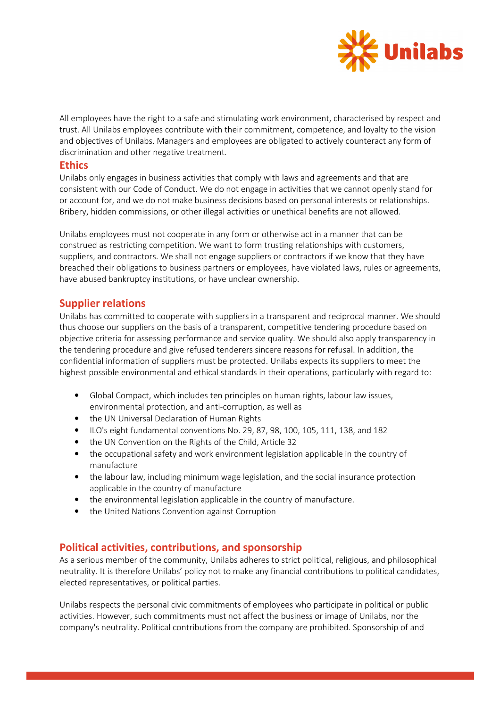

All employees have the right to a safe and stimulating work environment, characterised by respect and trust. All Unilabs employees contribute with their commitment, competence, and loyalty to the vision and objectives of Unilabs. Managers and employees are obligated to actively counteract any form of discrimination and other negative treatment.

#### **Ethics**

Unilabs only engages in business activities that comply with laws and agreements and that are consistent with our Code of Conduct. We do not engage in activities that we cannot openly stand for or account for, and we do not make business decisions based on personal interests or relationships. Bribery, hidden commissions, or other illegal activities or unethical benefits are not allowed.

Unilabs employees must not cooperate in any form or otherwise act in a manner that can be construed as restricting competition. We want to form trusting relationships with customers, suppliers, and contractors. We shall not engage suppliers or contractors if we know that they have breached their obligations to business partners or employees, have violated laws, rules or agreements, have abused bankruptcy institutions, or have unclear ownership.

# Supplier relations

Unilabs has committed to cooperate with suppliers in a transparent and reciprocal manner. We should thus choose our suppliers on the basis of a transparent, competitive tendering procedure based on objective criteria for assessing performance and service quality. We should also apply transparency in the tendering procedure and give refused tenderers sincere reasons for refusal. In addition, the confidential information of suppliers must be protected. Unilabs expects its suppliers to meet the highest possible environmental and ethical standards in their operations, particularly with regard to:

- Global Compact, which includes ten principles on human rights, labour law issues, environmental protection, and anti-corruption, as well as
- the UN Universal Declaration of Human Rights
- ILO's eight fundamental conventions No. 29, 87, 98, 100, 105, 111, 138, and 182
- the UN Convention on the Rights of the Child, Article 32
- the occupational safety and work environment legislation applicable in the country of manufacture
- the labour law, including minimum wage legislation, and the social insurance protection applicable in the country of manufacture
- the environmental legislation applicable in the country of manufacture.
- the United Nations Convention against Corruption

# Political activities, contributions, and sponsorship

As a serious member of the community, Unilabs adheres to strict political, religious, and philosophical neutrality. It is therefore Unilabs' policy not to make any financial contributions to political candidates, elected representatives, or political parties.

Unilabs respects the personal civic commitments of employees who participate in political or public activities. However, such commitments must not affect the business or image of Unilabs, nor the company's neutrality. Political contributions from the company are prohibited. Sponsorship of and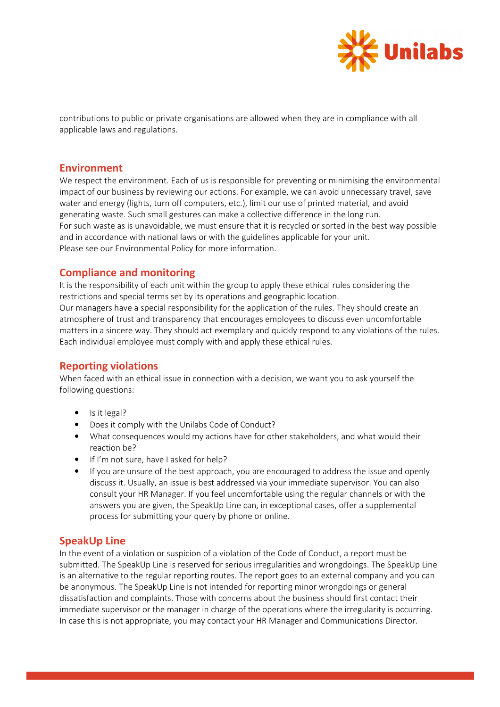

contributions to public or private organisations are allowed when they are in compliance with all applicable laws and regulations.

#### Environment

We respect the environment. Each of us is responsible for preventing or minimising the environmental impact of our business by reviewing our actions. For example, we can avoid unnecessary travel, save water and energy (lights, turn off computers, etc.), limit our use of printed material, and avoid generating waste. Such small gestures can make a collective difference in the long run. For such waste as is unavoidable, we must ensure that it is recycled or sorted in the best way possible and in accordance with national laws or with the guidelines applicable for your unit. Please see our Environmental Policy for more information.

# Compliance and monitoring

It is the responsibility of each unit within the group to apply these ethical rules considering the restrictions and special terms set by its operations and geographic location.

Our managers have a special responsibility for the application of the rules. They should create an atmosphere of trust and transparency that encourages employees to discuss even uncomfortable matters in a sincere way. They should act exemplary and quickly respond to any violations of the rules. Each individual employee must comply with and apply these ethical rules.

# Reporting violations

When faced with an ethical issue in connection with a decision, we want you to ask yourself the following questions:

- Is it legal?
- Does it comply with the Unilabs Code of Conduct?
- What consequences would my actions have for other stakeholders, and what would their reaction be?
- If I'm not sure, have I asked for help?
- If you are unsure of the best approach, you are encouraged to address the issue and openly discuss it. Usually, an issue is best addressed via your immediate supervisor. You can also consult your HR Manager. If you feel uncomfortable using the regular channels or with the answers you are given, the SpeakUp Line can, in exceptional cases, offer a supplemental process for submitting your query by phone or online.

# SpeakUp Line

In the event of a violation or suspicion of a violation of the Code of Conduct, a report must be submitted. The SpeakUp Line is reserved for serious irregularities and wrongdoings. The SpeakUp Line is an alternative to the regular reporting routes. The report goes to an external company and you can be anonymous. The SpeakUp Line is not intended for reporting minor wrongdoings or general dissatisfaction and complaints. Those with concerns about the business should first contact their immediate supervisor or the manager in charge of the operations where the irregularity is occurring. In case this is not appropriate, you may contact your HR Manager and Communications Director.